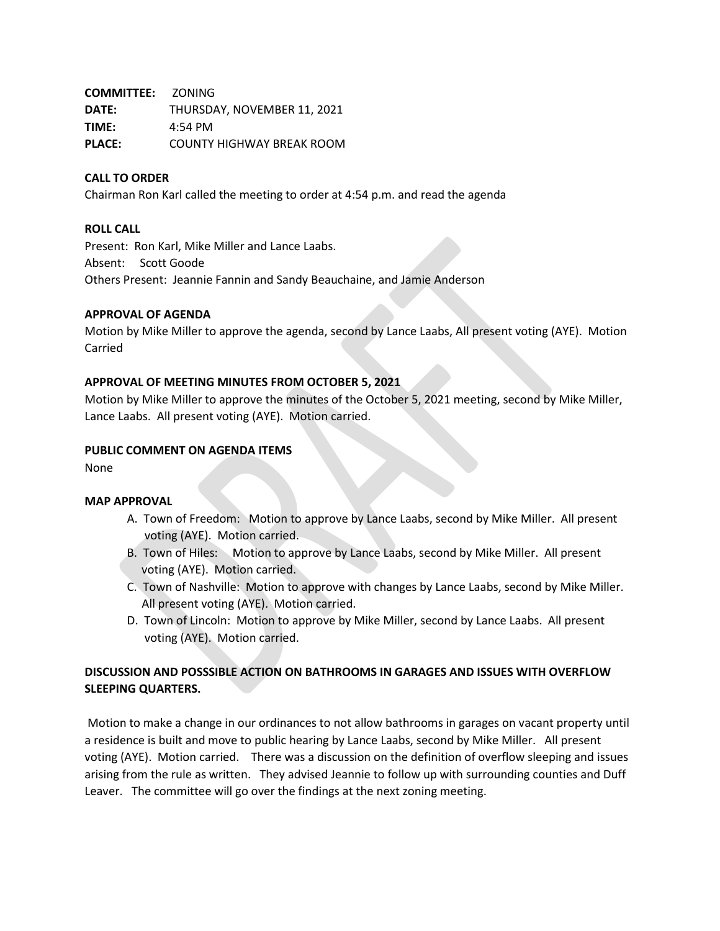**COMMITTEE:** ZONING **DATE:** THURSDAY, NOVEMBER 11, 2021 **TIME:** 4:54 PM **PLACE:** COUNTY HIGHWAY BREAK ROOM

### **CALL TO ORDER**

Chairman Ron Karl called the meeting to order at 4:54 p.m. and read the agenda

#### **ROLL CALL**

Present: Ron Karl, Mike Miller and Lance Laabs. Absent: Scott Goode Others Present: Jeannie Fannin and Sandy Beauchaine, and Jamie Anderson

### **APPROVAL OF AGENDA**

Motion by Mike Miller to approve the agenda, second by Lance Laabs, All present voting (AYE). Motion Carried

#### **APPROVAL OF MEETING MINUTES FROM OCTOBER 5, 2021**

Motion by Mike Miller to approve the minutes of the October 5, 2021 meeting, second by Mike Miller, Lance Laabs. All present voting (AYE). Motion carried.

#### **PUBLIC COMMENT ON AGENDA ITEMS**

None

#### **MAP APPROVAL**

- A. Town of Freedom: Motion to approve by Lance Laabs, second by Mike Miller. All present voting (AYE). Motion carried.
- B. Town of Hiles: Motion to approve by Lance Laabs, second by Mike Miller. All present voting (AYE). Motion carried.
- C. Town of Nashville: Motion to approve with changes by Lance Laabs, second by Mike Miller. All present voting (AYE). Motion carried.
- D. Town of Lincoln: Motion to approve by Mike Miller, second by Lance Laabs. All present voting (AYE). Motion carried.

## **DISCUSSION AND POSSSIBLE ACTION ON BATHROOMS IN GARAGES AND ISSUES WITH OVERFLOW SLEEPING QUARTERS.**

Motion to make a change in our ordinances to not allow bathrooms in garages on vacant property until a residence is built and move to public hearing by Lance Laabs, second by Mike Miller. All present voting (AYE). Motion carried. There was a discussion on the definition of overflow sleeping and issues arising from the rule as written. They advised Jeannie to follow up with surrounding counties and Duff Leaver. The committee will go over the findings at the next zoning meeting.